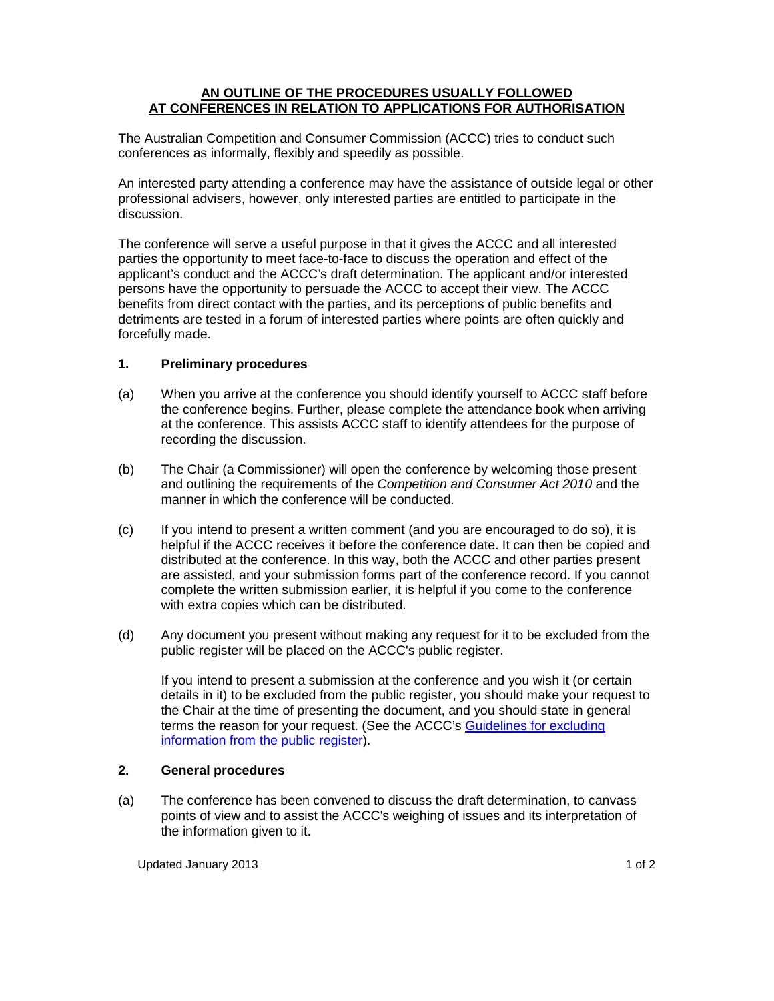# **AN OUTLINE OF THE PROCEDURES USUALLY FOLLOWED AT CONFERENCES IN RELATION TO APPLICATIONS FOR AUTHORISATION**

The Australian Competition and Consumer Commission (ACCC) tries to conduct such conferences as informally, flexibly and speedily as possible.

An interested party attending a conference may have the assistance of outside legal or other professional advisers, however, only interested parties are entitled to participate in the discussion.

The conference will serve a useful purpose in that it gives the ACCC and all interested parties the opportunity to meet face-to-face to discuss the operation and effect of the applicant's conduct and the ACCC's draft determination. The applicant and/or interested persons have the opportunity to persuade the ACCC to accept their view. The ACCC benefits from direct contact with the parties, and its perceptions of public benefits and detriments are tested in a forum of interested parties where points are often quickly and forcefully made.

# **1. Preliminary procedures**

- (a) When you arrive at the conference you should identify yourself to ACCC staff before the conference begins. Further, please complete the attendance book when arriving at the conference. This assists ACCC staff to identify attendees for the purpose of recording the discussion.
- (b) The Chair (a Commissioner) will open the conference by welcoming those present and outlining the requirements of the Competition and Consumer Act 2010 and the manner in which the conference will be conducted.
- (c) If you intend to present a written comment (and you are encouraged to do so), it is helpful if the ACCC receives it before the conference date. It can then be copied and distributed at the conference. In this way, both the ACCC and other parties present are assisted, and your submission forms part of the conference record. If you cannot complete the written submission earlier, it is helpful if you come to the conference with extra copies which can be distributed.
- (d) Any document you present without making any request for it to be excluded from the public register will be placed on the ACCC's public register.

If you intend to present a submission at the conference and you wish it (or certain details in it) to be excluded from the public register, you should make your request to the Chair at the time of presenting the document, and you should state in general terms the reason for your request. (See the ACCC's Guidelines for excluding information from the public register).

### **2. General procedures**

(a) The conference has been convened to discuss the draft determination, to canvass points of view and to assist the ACCC's weighing of issues and its interpretation of the information given to it.

Updated January 2013 **11 of 2** and 2013